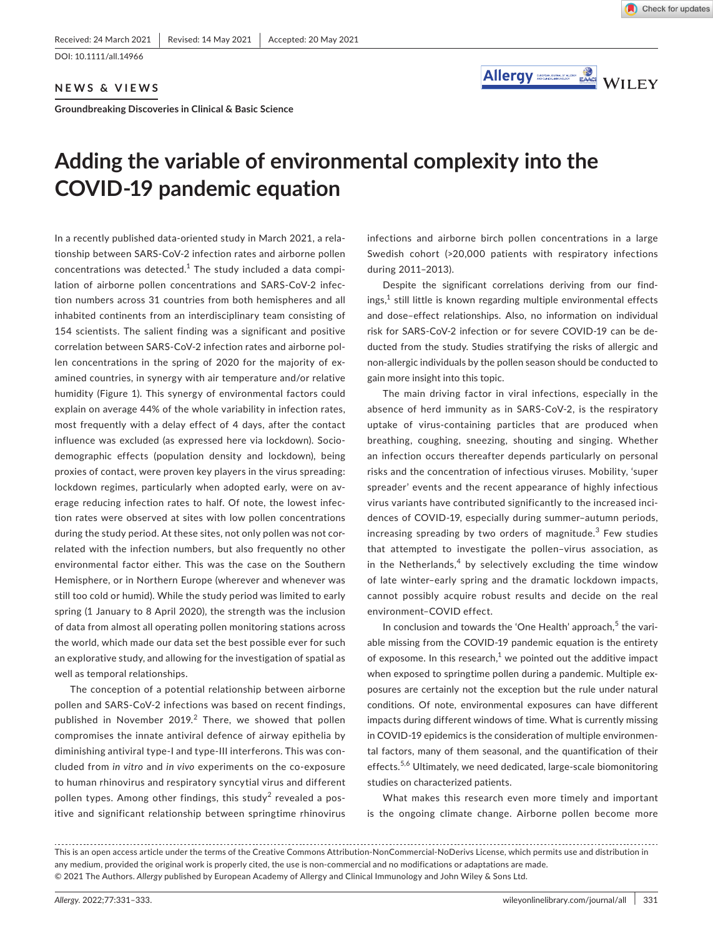DOI: 10.1111/all.14966

**NEWS & VIEWS**

**Groundbreaking Discoveries in Clinical & Basic Science**



# **Adding the variable of environmental complexity into the COVID-19 pandemic equation**

In a recently published data-oriented study in March 2021, a relationship between SARS-CoV-2 infection rates and airborne pollen concentrations was detected. $1$  The study included a data compilation of airborne pollen concentrations and SARS-CoV-2 infection numbers across 31 countries from both hemispheres and all inhabited continents from an interdisciplinary team consisting of 154 scientists. The salient finding was a significant and positive correlation between SARS-CoV-2 infection rates and airborne pollen concentrations in the spring of 2020 for the majority of examined countries, in synergy with air temperature and/or relative humidity (Figure 1). This synergy of environmental factors could explain on average 44% of the whole variability in infection rates, most frequently with a delay effect of 4 days, after the contact influence was excluded (as expressed here via lockdown). Sociodemographic effects (population density and lockdown), being proxies of contact, were proven key players in the virus spreading: lockdown regimes, particularly when adopted early, were on average reducing infection rates to half. Of note, the lowest infection rates were observed at sites with low pollen concentrations during the study period. At these sites, not only pollen was not correlated with the infection numbers, but also frequently no other environmental factor either. This was the case on the Southern Hemisphere, or in Northern Europe (wherever and whenever was still too cold or humid). While the study period was limited to early spring (1 January to 8 April 2020), the strength was the inclusion of data from almost all operating pollen monitoring stations across the world, which made our data set the best possible ever for such an explorative study, and allowing for the investigation of spatial as well as temporal relationships.

The conception of a potential relationship between airborne pollen and SARS-CoV-2 infections was based on recent findings, published in November 2019. $2$  There, we showed that pollen compromises the innate antiviral defence of airway epithelia by diminishing antiviral type-I and type-III interferons. This was concluded from *in vitro* and *in vivo* experiments on the co-exposure to human rhinovirus and respiratory syncytial virus and different pollen types. Among other findings, this study $^2$  revealed a positive and significant relationship between springtime rhinovirus

infections and airborne birch pollen concentrations in a large Swedish cohort (>20,000 patients with respiratory infections during 2011–2013).

Despite the significant correlations deriving from our find $ings<sub>i</sub><sup>1</sup> still little is known regarding multiple environmental effects$ and dose–effect relationships. Also, no information on individual risk for SARS-CoV-2 infection or for severe COVID-19 can be deducted from the study. Studies stratifying the risks of allergic and non-allergic individuals by the pollen season should be conducted to gain more insight into this topic.

The main driving factor in viral infections, especially in the absence of herd immunity as in SARS-CoV-2, is the respiratory uptake of virus-containing particles that are produced when breathing, coughing, sneezing, shouting and singing. Whether an infection occurs thereafter depends particularly on personal risks and the concentration of infectious viruses. Mobility, 'super spreader' events and the recent appearance of highly infectious virus variants have contributed significantly to the increased incidences of COVID-19, especially during summer–autumn periods, increasing spreading by two orders of magnitude.<sup>3</sup> Few studies that attempted to investigate the pollen–virus association, as in the Netherlands, $4$  by selectively excluding the time window of late winter–early spring and the dramatic lockdown impacts, cannot possibly acquire robust results and decide on the real environment–COVID effect.

In conclusion and towards the 'One Health' approach,<sup>5</sup> the variable missing from the COVID-19 pandemic equation is the entirety of exposome. In this research, $<sup>1</sup>$  we pointed out the additive impact</sup> when exposed to springtime pollen during a pandemic. Multiple exposures are certainly not the exception but the rule under natural conditions. Of note, environmental exposures can have different impacts during different windows of time. What is currently missing in COVID-19 epidemics is the consideration of multiple environmental factors, many of them seasonal, and the quantification of their effects.<sup>5,6</sup> Ultimately, we need dedicated, large-scale biomonitoring studies on characterized patients.

What makes this research even more timely and important is the ongoing climate change. Airborne pollen become more

This is an open access article under the terms of the [Creative Commons Attribution-NonCommercial-NoDerivs](http://creativecommons.org/licenses/by-nc-nd/4.0/) License, which permits use and distribution in any medium, provided the original work is properly cited, the use is non-commercial and no modifications or adaptations are made. © 2021 The Authors. *Allergy* published by European Academy of Allergy and Clinical Immunology and John Wiley & Sons Ltd.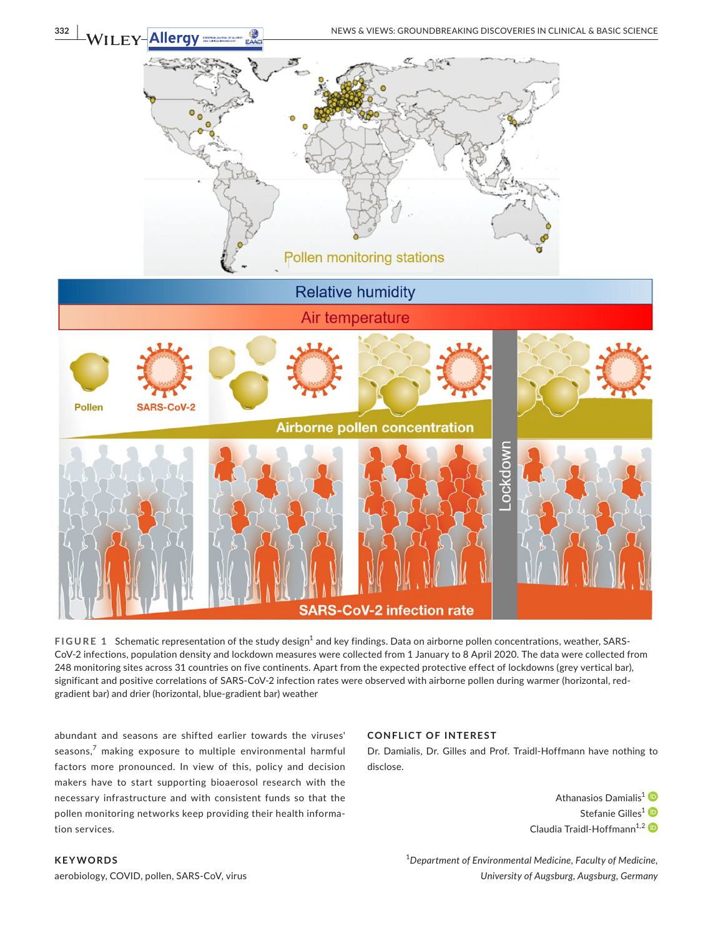

FIGURE 1 Schematic representation of the study design<sup>1</sup> and key findings. Data on airborne pollen concentrations, weather, SARS-CoV-2 infections, population density and lockdown measures were collected from 1 January to 8 April 2020. The data were collected from 248 monitoring sites across 31 countries on five continents. Apart from the expected protective effect of lockdowns (grey vertical bar), significant and positive correlations of SARS-CoV-2 infection rates were observed with airborne pollen during warmer (horizontal, redgradient bar) and drier (horizontal, blue-gradient bar) weather

abundant and seasons are shifted earlier towards the viruses' seasons, $<sup>7</sup>$  making exposure to multiple environmental harmful</sup> factors more pronounced. In view of this, policy and decision makers have to start supporting bioaerosol research with the necessary infrastructure and with consistent funds so that the pollen monitoring networks keep providing their health information services.

# **CONFLICT OF INTEREST**

Dr. Damialis, Dr. Gilles and Prof. Traidl-Hoffmann have nothing to disclose.

> Athanasios Damialis<sup>[1](https://orcid.org/0000-0003-2917-5667)</sup><sup>D</sup> Stefanie Gilles<sup>[1](https://orcid.org/0000-0002-5159-2558)</sup> Claudia Traidl-Hoffmann<sup>1,[2](https://orcid.org/0000-0001-5085-5179)</sup>

1 *Department of Environmental Medicine, Faculty of Medicine, University of Augsburg, Augsburg, Germany*

# **KEYWORDS**

aerobiology, COVID, pollen, SARS-CoV, virus